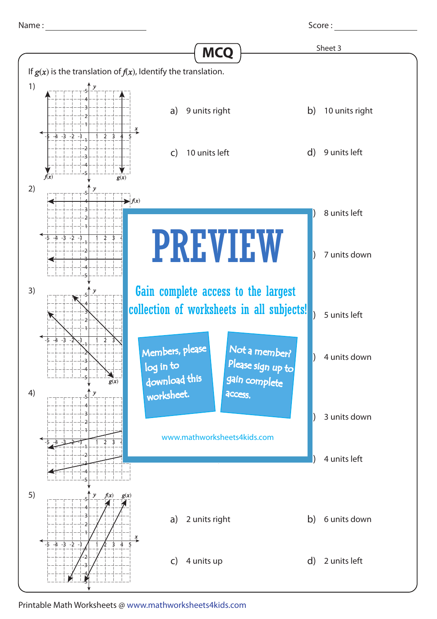